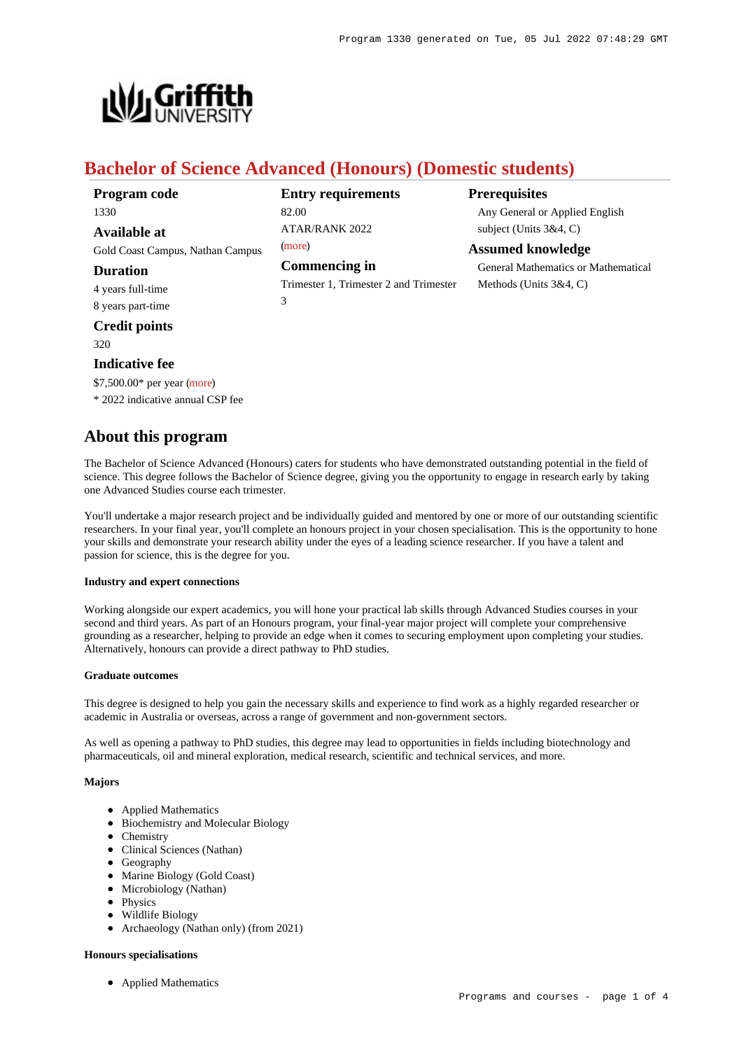

# **Bachelor of Science Advanced (Honours) (Domestic students)**

| Program code                     | <b>Entry requirements</b>              | <b>Prerequisites</b>                |
|----------------------------------|----------------------------------------|-------------------------------------|
| 1330                             | 82.00                                  | Any General or Applied English      |
| <b>Available at</b>              | <b>ATAR/RANK 2022</b>                  | subject (Units $3&4, C$ )           |
| Gold Coast Campus, Nathan Campus | (more)                                 | <b>Assumed knowledge</b>            |
| <b>Duration</b>                  | <b>Commencing in</b>                   | General Mathematics or Mathematical |
| 4 years full-time                | Trimester 1, Trimester 2 and Trimester | Methods (Units $3&4, C$ )           |
| 8 years part-time                | 3                                      |                                     |
| <b>Credit points</b>             |                                        |                                     |
| 320                              |                                        |                                     |

## **Indicative fee**

\$7,500.00\* per year [\(more](https://www148.griffith.edu.au/programs-courses/Program/1330/Overview/Domestic#fees))

\* 2022 indicative annual CSP fee

# **About this program**

The Bachelor of Science Advanced (Honours) caters for students who have demonstrated outstanding potential in the field of science. This degree follows the Bachelor of Science degree, giving you the opportunity to engage in research early by taking one Advanced Studies course each trimester.

You'll undertake a major research project and be individually guided and mentored by one or more of our outstanding scientific researchers. In your final year, you'll complete an honours project in your chosen specialisation. This is the opportunity to hone your skills and demonstrate your research ability under the eyes of a leading science researcher. If you have a talent and passion for science, this is the degree for you.

#### **Industry and expert connections**

Working alongside our expert academics, you will hone your practical lab skills through Advanced Studies courses in your second and third years. As part of an Honours program, your final-year major project will complete your comprehensive grounding as a researcher, helping to provide an edge when it comes to securing employment upon completing your studies. Alternatively, honours can provide a direct pathway to PhD studies.

#### **Graduate outcomes**

This degree is designed to help you gain the necessary skills and experience to find work as a highly regarded researcher or academic in Australia or overseas, across a range of government and non-government sectors.

As well as opening a pathway to PhD studies, this degree may lead to opportunities in fields including biotechnology and pharmaceuticals, oil and mineral exploration, medical research, scientific and technical services, and more.

### **Majors**

- Applied Mathematics
- Biochemistry and Molecular Biology
- Chemistry
- Clinical Sciences (Nathan)
- Geography
- Marine Biology (Gold Coast)
- Microbiology (Nathan)
- Physics
- Wildlife Biology
- Archaeology (Nathan only) (from 2021)

#### **Honours specialisations**

Applied Mathematics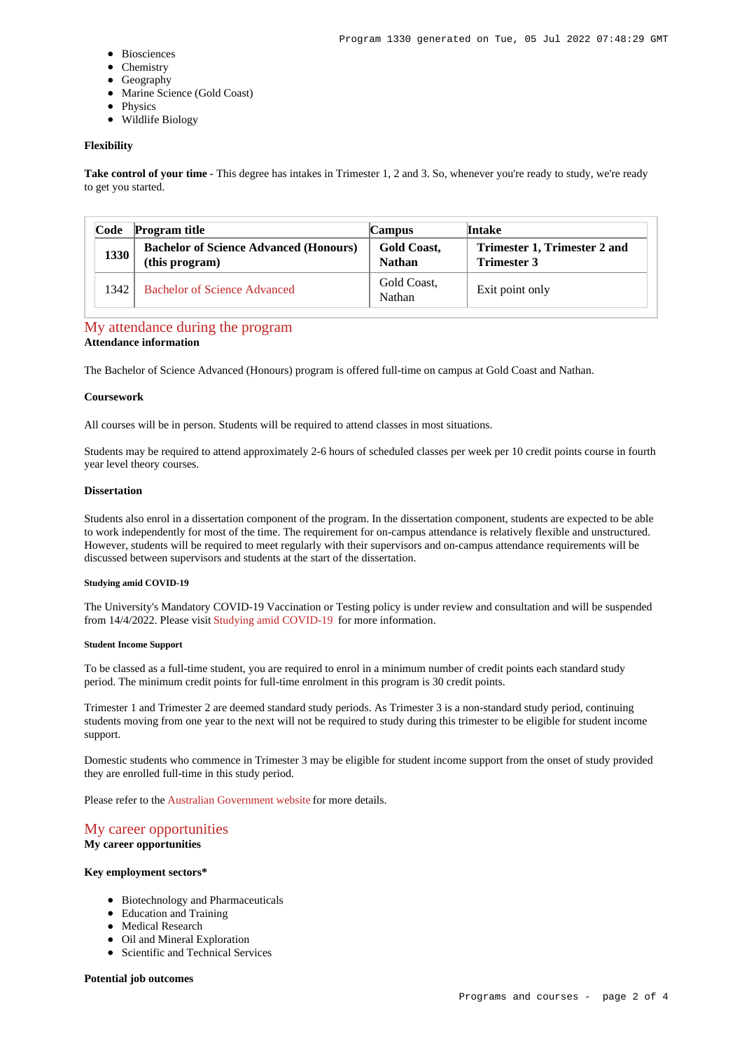- Biosciences
- Chemistry
- Geography
- Marine Science (Gold Coast)
- Physics
- Wildlife Biology

#### **Flexibility**

Take control of your time - This degree has intakes in Trimester 1, 2 and 3. So, whenever you're ready to study, we're ready to get you started.

| Code | <b>Program title</b>                                            | <b>Campus</b>                       | <b>Intake</b>                                      |
|------|-----------------------------------------------------------------|-------------------------------------|----------------------------------------------------|
| 1330 | <b>Bachelor of Science Advanced (Honours)</b><br>(this program) | <b>Gold Coast,</b><br><b>Nathan</b> | Trimester 1, Trimester 2 and<br><b>Trimester 3</b> |
| 1342 | Bachelor of Science Advanced                                    | Gold Coast,<br>Nathan               | Exit point only                                    |

# [My attendance during the program](https://www148.griffith.edu.au/programs-courses/Program/1330/Overview/#attendance)

# **Attendance information**

The Bachelor of Science Advanced (Honours) program is offered full-time on campus at Gold Coast and Nathan.

#### **Coursework**

All courses will be in person. Students will be required to attend classes in most situations.

Students may be required to attend approximately 2-6 hours of scheduled classes per week per 10 credit points course in fourth year level theory courses.

#### **Dissertation**

Students also enrol in a dissertation component of the program. In the dissertation component, students are expected to be able to work independently for most of the time. The requirement for on-campus attendance is relatively flexible and unstructured. However, students will be required to meet regularly with their supervisors and on-campus attendance requirements will be discussed between supervisors and students at the start of the dissertation.

### **Studying amid COVID-19**

The University's Mandatory COVID-19 Vaccination or Testing policy is under review and consultation and will be suspended from 14/4/2022. Please visit [Studying amid COVID-19](https://www.griffith.edu.au/coronavirus/studying-amid-covid-19) for more information.

#### **Student Income Support**

To be classed as a full-time student, you are required to enrol in a minimum number of credit points each standard study period. The minimum credit points for full-time enrolment in this program is 30 credit points.

Trimester 1 and Trimester 2 are deemed standard study periods. As Trimester 3 is a non-standard study period, continuing students moving from one year to the next will not be required to study during this trimester to be eligible for student income support.

Domestic students who commence in Trimester 3 may be eligible for student income support from the onset of study provided they are enrolled full-time in this study period.

Please refer to the [Australian Government website](https://www.humanservices.gov.au/customer/dhs/centrelink) for more details.

# [My career opportunities](https://www148.griffith.edu.au/programs-courses/Program/1330/Overview/#opportunities)

**My career opportunities**

# **Key employment sectors\***

- Biotechnology and Pharmaceuticals
- Education and Training
- Medical Research
- Oil and Mineral Exploration
- Scientific and Technical Services

#### **Potential job outcomes**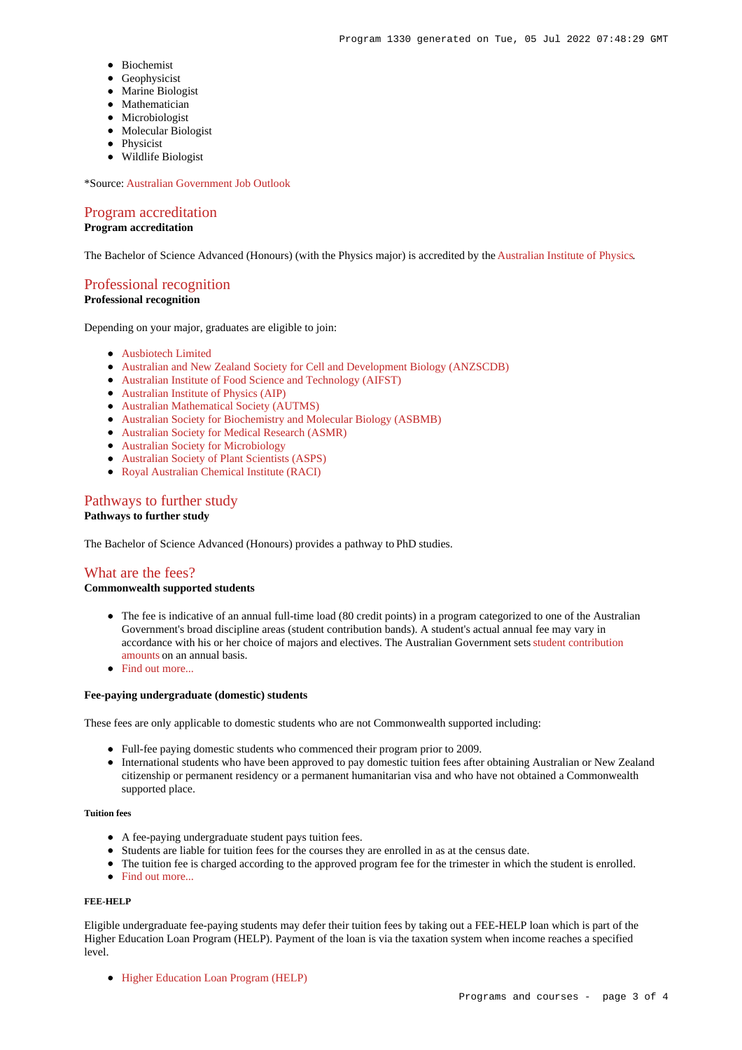- Biochemist
- Geophysicist
- Marine Biologist
- Mathematician
- Microbiologist
- Molecular Biologist
- Physicist
- Wildlife Biologist

\*Source: [Australian Government Job Outlook](https://joboutlook.gov.au/)

# [Program accreditation](https://www148.griffith.edu.au/programs-courses/Program/1330/Overview/#accreditation)

## **Program accreditation**

The Bachelor of Science Advanced (Honours) (with the Physics major) is accredited by the [Australian Institute of Physics](http://www.aip.org.au/info/).

# [Professional recognition](https://www148.griffith.edu.au/programs-courses/Program/1330/Overview/#recognition)

## **Professional recognition**

Depending on your major, graduates are eligible to join:

- [Ausbiotech Limited](http://www.ausbiotech.org/)
- [Australian and New Zealand Society for Cell and Development Biology \(ANZSCDB\)](http://www.anzscdb.org/)
- [Australian Institute of Food Science and Technology \(AIFST\)](http://www.aifst.asn.au/)
- [Australian Institute of Physics \(AIP\)](http://www.aip.org.au/info/)
- [Australian Mathematical Society \(AUTMS\)](http://www.austms.org.au/)
- [Australian Society for Biochemistry and Molecular Biology \(ASBMB\)](https://www.asbmb.org.au/)
- [Australian Society for Medical Research \(ASMR\)](http://www.asmr.org.au/)
- [Australian Society for Microbiology](http://www.theasm.org.au/)
- [Australian Society of Plant Scientists \(ASPS\)](http://www.asps.org.au/)
- [Royal Australian Chemical Institute \(RACI\)](https://www.raci.org.au/)

# [Pathways to further study](https://www148.griffith.edu.au/programs-courses/Program/1330/Overview/#pathways)

## **Pathways to further study**

The Bachelor of Science Advanced (Honours) provides a pathway to PhD studies.

# [What are the fees?](https://www148.griffith.edu.au/programs-courses/Program/1330/Overview/#fees)

### **Commonwealth supported students**

- The fee is indicative of an annual full-time load (80 credit points) in a program categorized to one of the Australian Government's broad discipline areas (student contribution bands). A student's actual annual fee may vary in accordance with his or her choice of majors and electives. The Australian Government sets [student contribution](http://studyassist.gov.au/sites/studyassist/helppayingmyfees/csps/pages/student-contribution-amounts) [amounts](http://studyassist.gov.au/sites/studyassist/helppayingmyfees/csps/pages/student-contribution-amounts) on an annual basis.
- Find out more.

#### **Fee-paying undergraduate (domestic) students**

These fees are only applicable to domestic students who are not Commonwealth supported including:

- Full-fee paying domestic students who commenced their program prior to 2009.
- International students who have been approved to pay domestic tuition fees after obtaining Australian or New Zealand citizenship or permanent residency or a permanent humanitarian visa and who have not obtained a Commonwealth supported place.

### **Tuition fees**

- A fee-paying undergraduate student pays tuition fees.
- Students are liable for tuition fees for the courses they are enrolled in as at the census date.
- The tuition fee is charged according to the approved program fee for the trimester in which the student is enrolled.
- [Find out more...](https://www148.griffith.edu.au/programs-courses/Program/1330/Overview/#whatAreTheFees)

#### **FEE-HELP**

Eligible undergraduate fee-paying students may defer their tuition fees by taking out a FEE-HELP loan which is part of the Higher Education Loan Program (HELP). Payment of the loan is via the taxation system when income reaches a specified level.

[Higher Education Loan Program \(HELP\)](http://www.griffith.edu.au/fees-charges/help-loans)